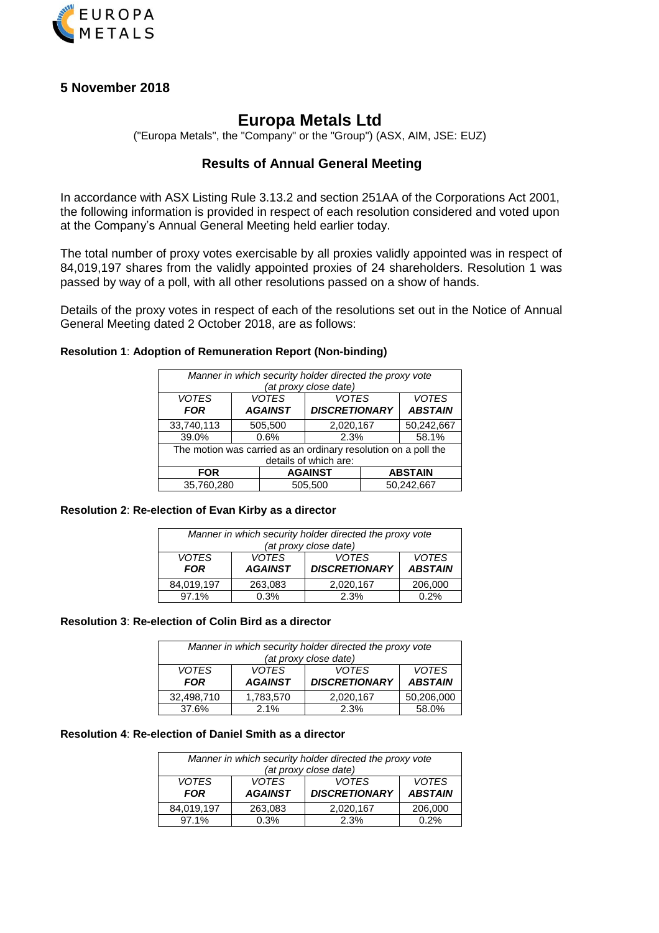

# **5 November 2018**

# **Europa Metals Ltd**

("Europa Metals", the "Company" or the "Group") (ASX, AIM, JSE: EUZ)

# **Results of Annual General Meeting**

In accordance with ASX Listing Rule 3.13.2 and section 251AA of the Corporations Act 2001, the following information is provided in respect of each resolution considered and voted upon at the Company's Annual General Meeting held earlier today.

The total number of proxy votes exercisable by all proxies validly appointed was in respect of 84,019,197 shares from the validly appointed proxies of 24 shareholders. Resolution 1 was passed by way of a poll, with all other resolutions passed on a show of hands.

Details of the proxy votes in respect of each of the resolutions set out in the Notice of Annual General Meeting dated 2 October 2018, are as follows:

# **Resolution 1**: **Adoption of Remuneration Report (Non-binding)**

| Manner in which security holder directed the proxy vote<br>(at proxy close date) |  |                                |                                      |            |                                |  |
|----------------------------------------------------------------------------------|--|--------------------------------|--------------------------------------|------------|--------------------------------|--|
| <b>VOTES</b><br><b>FOR</b>                                                       |  | <b>VOTES</b><br><b>AGAINST</b> | <b>VOTES</b><br><b>DISCRETIONARY</b> |            | <b>VOTES</b><br><b>ABSTAIN</b> |  |
| 33,740,113                                                                       |  | 505,500                        | 2,020,167                            |            | 50,242,667                     |  |
| 39.0%                                                                            |  | 0.6%                           | 2.3%                                 |            | 58.1%                          |  |
| The motion was carried as an ordinary resolution on a poll the                   |  |                                |                                      |            |                                |  |
| details of which are:                                                            |  |                                |                                      |            |                                |  |
| <b>FOR</b>                                                                       |  |                                | <b>AGAINST</b>                       |            | <b>ABSTAIN</b>                 |  |
| 35,760,280                                                                       |  | 505.500                        |                                      | 50.242.667 |                                |  |

#### **Resolution 2**: **Re-election of Evan Kirby as a director**

| Manner in which security holder directed the proxy vote<br>(at proxy close date) |                                |                                      |                                |
|----------------------------------------------------------------------------------|--------------------------------|--------------------------------------|--------------------------------|
| <b>VOTES</b><br><b>FOR</b>                                                       | <b>VOTES</b><br><b>AGAINST</b> | <b>VOTES</b><br><b>DISCRETIONARY</b> | <b>VOTES</b><br><b>ABSTAIN</b> |
| 84,019,197                                                                       | 263,083                        | 2,020,167                            | 206,000                        |
| 97.1%                                                                            | 0.3%                           | 2.3%                                 | 0.2%                           |

#### **Resolution 3**: **Re-election of Colin Bird as a director**

| Manner in which security holder directed the proxy vote |                                              |                      |                |
|---------------------------------------------------------|----------------------------------------------|----------------------|----------------|
| (at proxy close date)                                   |                                              |                      |                |
| <b>VOTES</b>                                            | <b>VOTES</b><br><b>VOTES</b><br><b>VOTES</b> |                      |                |
| <b>FOR</b>                                              | <b>AGAINST</b>                               | <b>DISCRETIONARY</b> | <b>ABSTAIN</b> |
| 32,498,710                                              | 1,783,570                                    | 2,020,167            | 50,206,000     |
| 37.6%                                                   | 2.1%                                         | 2.3%                 | 58.0%          |

#### **Resolution 4**: **Re-election of Daniel Smith as a director**

| Manner in which security holder directed the proxy vote<br>(at proxy close date) |                                |                                      |                                |  |
|----------------------------------------------------------------------------------|--------------------------------|--------------------------------------|--------------------------------|--|
| <b>VOTES</b><br><b>FOR</b>                                                       | <b>VOTES</b><br><b>AGAINST</b> | <b>VOTES</b><br><b>DISCRETIONARY</b> | <b>VOTES</b><br><b>ABSTAIN</b> |  |
| 84,019,197                                                                       | 263,083                        | 2,020,167                            | 206,000                        |  |
| 97.1%                                                                            | 0.3%                           | 2.3%                                 | 0.2%                           |  |